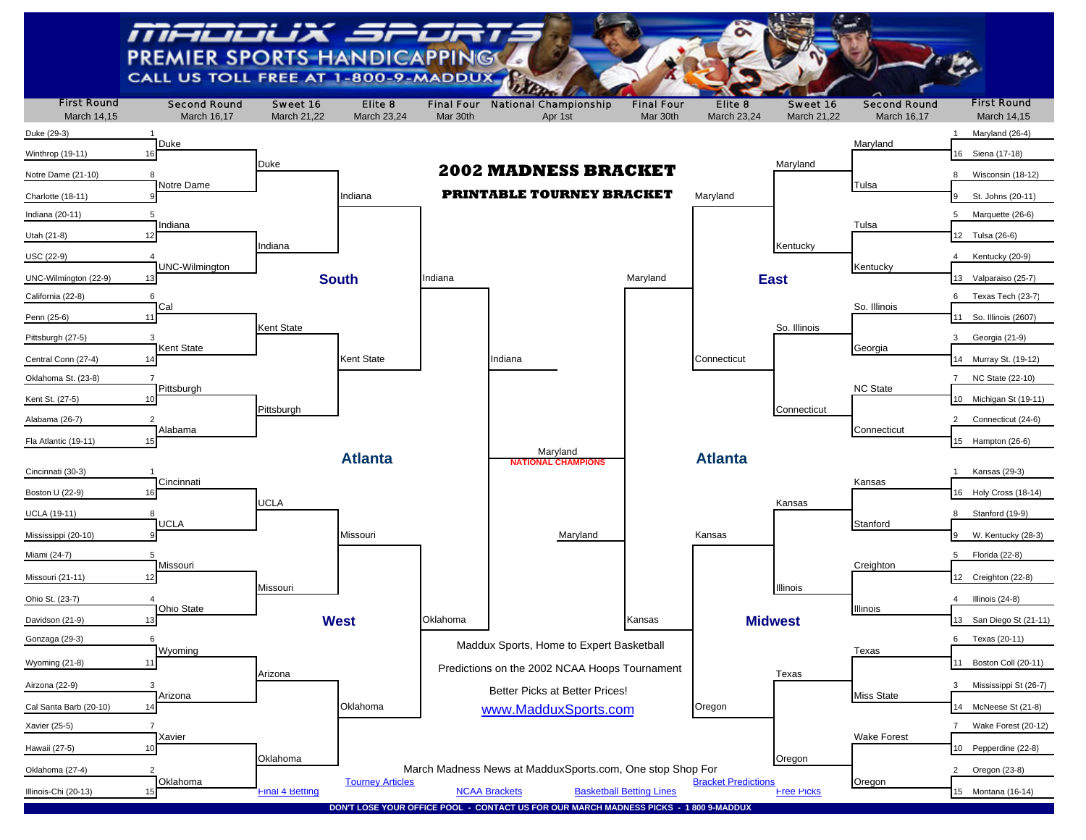